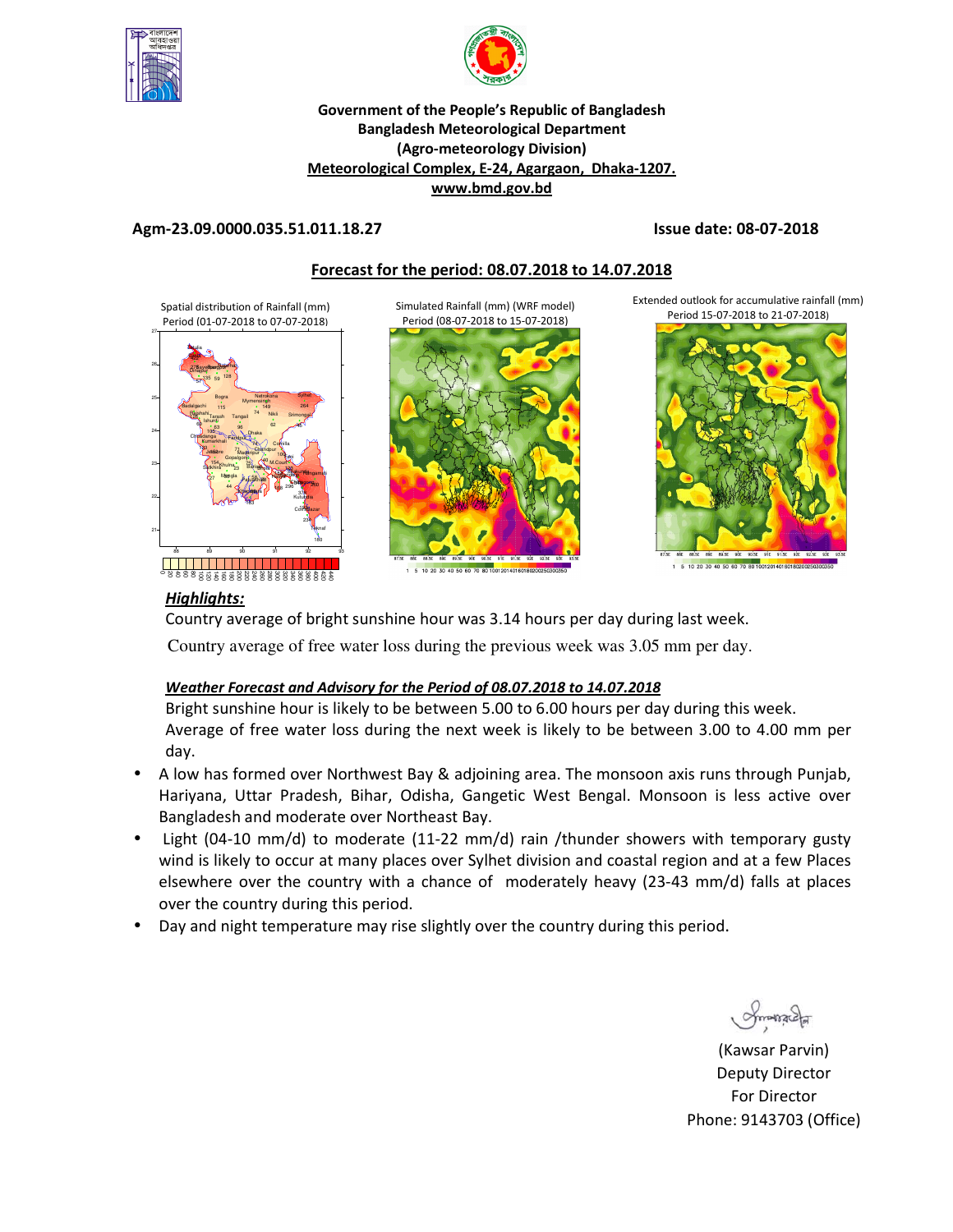



#### **Government of the People's Republic of Bangladesh Bangladesh Meteorological Department (Agro-meteorology Division) Meteorological Complex, E-24, Agargaon, Dhaka-1207. www.bmd.gov.bd**

#### **Agm-23.09.0000.035.51.011.18.27 Issue date: 08-07-2018**

## **Forecast for the period: 08.07.2018 to 14.07.2018**

Simulated Rainfall (mm) (WRF model)

Spatial distribution of Rainfall (mm) Period (01-07-2018 to 07-07-2018)





1 5 10 20 30 40 50 60 70 80 10012014016018020025

Extended outlook for accumulative rainfall (mm) Period 15-07-2018 to 21-07-2018)



## *Highlights:*

Country average of bright sunshine hour was 3.14 hours per day during last week.

Country average of free water loss during the previous week was 3.05 mm per day.

#### *Weather Forecast and Advisory for the Period of 08.07.2018 to 14.07.2018*

Bright sunshine hour is likely to be between 5.00 to 6.00 hours per day during this week. Average of free water loss during the next week is likely to be between 3.00 to 4.00 mm per day.

- A low has formed over Northwest Bay & adjoining area. The monsoon axis runs through Punjab, Hariyana, Uttar Pradesh, Bihar, Odisha, Gangetic West Bengal. Monsoon is less active over Bangladesh and moderate over Northeast Bay.
- Light (04-10 mm/d) to moderate (11-22 mm/d) rain /thunder showers with temporary gusty wind is likely to occur at many places over Sylhet division and coastal region and at a few Places elsewhere over the country with a chance of moderately heavy (23-43 mm/d) falls at places over the country during this period.
- Day and night temperature may rise slightly over the country during this period.

(Kawsar Parvin) Deputy Director For Director Phone: 9143703 (Office)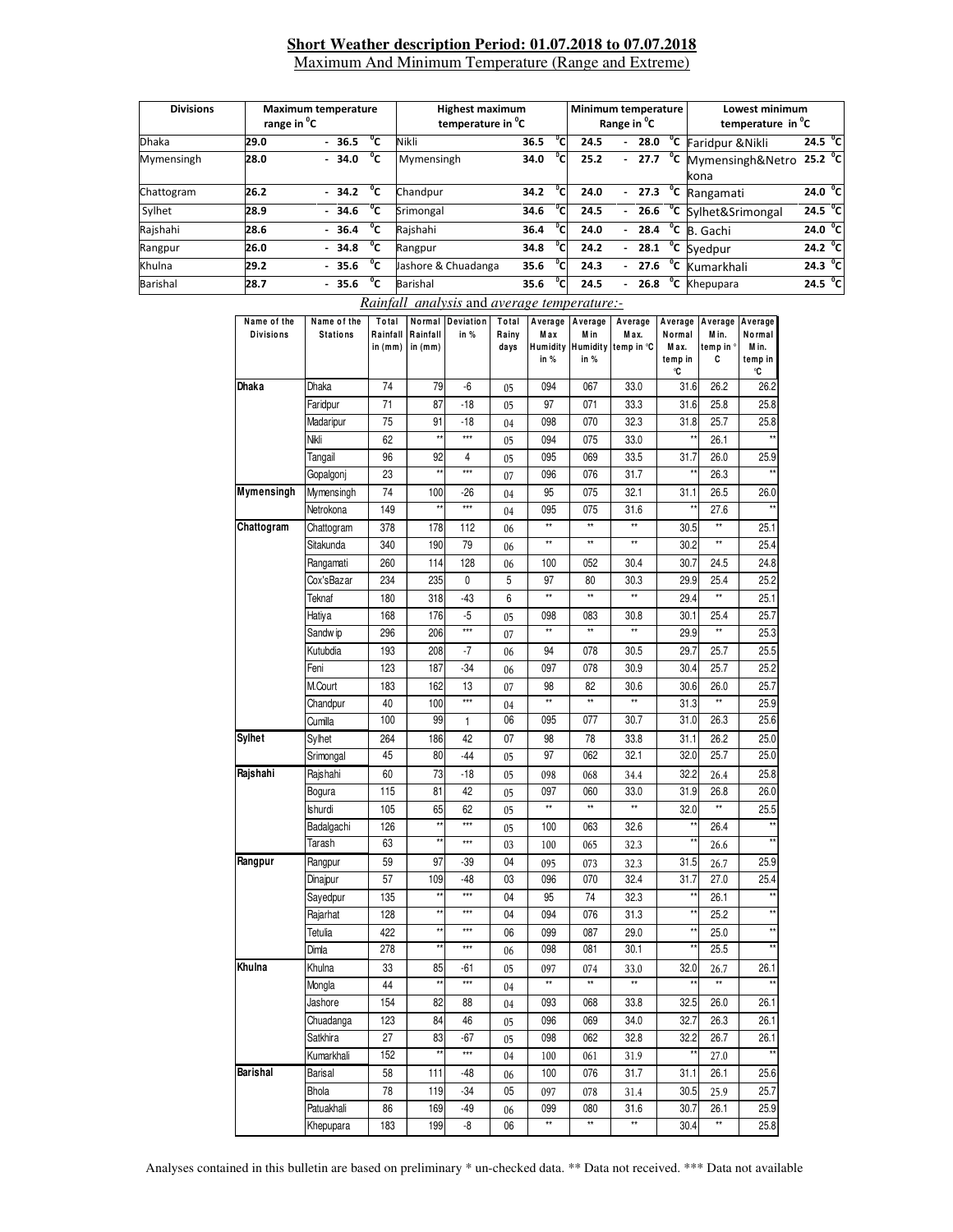#### **Short Weather description Period: 01.07.2018 to 07.07.2018** Maximum And Minimum Temperature (Range and Extreme)

| <b>Divisions</b> | <b>Maximum temperature</b><br>range in <sup>o</sup> C |               |  |         |            | <b>Highest maximum</b><br>temperature in <sup>o</sup> C |      |                | Minimum temperature<br>Range in <sup>o</sup> C |                          |      |                          | Lowest minimum<br>temperature in <sup>o</sup> C |                   |  |
|------------------|-------------------------------------------------------|---------------|--|---------|------------|---------------------------------------------------------|------|----------------|------------------------------------------------|--------------------------|------|--------------------------|-------------------------------------------------|-------------------|--|
| <b>Dhaka</b>     | 29.0                                                  |               |  | $-36.5$ | °c         | Nikli                                                   | 36.5 | °cı            | 24.5                                           | $\overline{\phantom{a}}$ | 28.0 | $\overline{c}$           | Faridpur & Nikli                                | 24.5 $^{\circ}$ C |  |
| Mymensingh       | 28.0                                                  | °c<br>$-34.0$ |  |         | Mymensingh | 34.0                                                    | °c   | 25.2           | $\overline{\phantom{0}}$                       | 27.7                     | °c   | Mymensingh&Netro<br>kona | $25.2 \n\degree$ C                              |                   |  |
| Chattogram       | 26.2                                                  |               |  | $-34.2$ | °c         | Chandpur                                                | 34.2 | °c             | 24.0                                           | ٠                        | 27.3 | °c                       | Rangamati                                       | 24.0 $^{\circ}$ C |  |
| Sylhet           | 28.9                                                  |               |  | $-34.6$ | °c         | Srimongal                                               | 34.6 | $^{\circ}$ Ci  | 24.5                                           | $\overline{\phantom{0}}$ | 26.6 | $^{\circ}$ c             | Sylhet&Srimongal                                | 24.5 $^{\circ}$ C |  |
| Rajshahi         | 28.6                                                  |               |  | $-36.4$ | °c         | Rajshahi                                                | 36.4 | °cı            | 24.0                                           | $\overline{\phantom{0}}$ | 28.4 | °c                       | B. Gachi                                        | 24.0 $^{\circ}$ C |  |
| Rangpur          | 26.0                                                  |               |  | $-34.8$ | °c         | Rangpur                                                 | 34.8 | $\overline{c}$ | 24.2                                           | $\overline{\phantom{0}}$ | 28.1 |                          | <sup>o</sup> C Syedpur                          | 24.2 $\degree$ C  |  |
| Khulna           | 29.2                                                  |               |  | $-35.6$ | °c         | Jashore & Chuadanga                                     | 35.6 | °c             | 24.3                                           | ۰.                       | 27.6 | °c                       | Kumarkhali                                      | 24.3 $^{\circ}$ C |  |
| Barishal         | 28.7                                                  |               |  | $-35.6$ | °c         | Barishal                                                | 35.6 | $\overline{c}$ | 24.5                                           | ۰                        | 26.8 | $\overline{c}$           | Khepupara                                       | 24.5 $^{\circ}$ C |  |

## *Rainfall analysis* and *average temperature:-*

| Name of the<br><b>Divisions</b> | Name of the<br><b>Stations</b> | Total<br>Rainfall | Normal<br>Rainfall | Deviation<br>in % | Total<br>Rainy | Average<br>Max | Average<br>M in | Average<br>Max.              | Average Average<br>Normal | M in.           | Average<br>Normal     |
|---------------------------------|--------------------------------|-------------------|--------------------|-------------------|----------------|----------------|-----------------|------------------------------|---------------------------|-----------------|-----------------------|
|                                 |                                | in $(mm)$         | in (mm)            |                   | days           | in %           | in %            | Humidity Humidity temp in °C | M ax.<br>temp in<br>°C    | temp in °<br>С  | Min.<br>temp in<br>°C |
| Dhaka                           | Dhaka                          | 74                | 79                 | -6                | 05             | 094            | 067             | 33.0                         | 31.6                      | 26.2            | 26.2                  |
|                                 | Faridpur                       | 71                | 87                 | $-18$             | 05             | 97             | 071             | 33.3                         | 31.6                      | 25.8            | 25.8                  |
|                                 | Madaripur                      | 75                | 91                 | $-18$             | 04             | 098            | 070             | 32.3                         | 31.8                      | 25.7            | 25.8                  |
|                                 | Nikli                          | 62                | $\star\star$       | ***               | 05             | 094            | 075             | 33.0                         | $\star\star$              | 26.1            | $\star\star$          |
|                                 | Tangail                        | 96                | 92                 | 4                 | 05             | 095            | 069             | 33.5                         | 31.7                      | 26.0            | 25.9                  |
|                                 | Gopalgonj                      | 23                | ź,                 | $***$             | 07             | 096            | 076             | 31.7                         | $\star\star$              | 26.3            | $\star\star$          |
| Mymensingh                      | Mymensingh                     | 74                | 100                | -26               | 04             | 95             | 075             | 32.1                         | 31.1                      | 26.5            | 26.0                  |
|                                 | Netrokona                      | 149               | **                 | $***$             | 04             | 095            | 075             | 31.6                         | $\star\star$              | 27.6            | $\star\star$          |
| Chattogram                      | Chattogram                     | 378               | 178                | 112               | 06             | $\star\star$   | $\star\star$    | $\star\star$                 | 30.5                      | $\star\star$    | 25.1                  |
|                                 | Sitakunda                      | 340               | 190                | 79                | 06             | $\star\star$   | $\star\star$    | **                           | 30.2                      | **              | 25.4                  |
|                                 | Rangamati                      | 260               | 114                | 128               | 06             | 100            | 052             | 30.4                         | 30.7                      | 24.5            | 24.8                  |
|                                 | Cox'sBazar                     | 234               | 235                | 0                 | 5              | 97             | 80              | 30.3                         | 29.9                      | 25.4            | 25.2                  |
|                                 | Teknaf                         | 180               | 318                | -43               | 6              | **             | $\star\star$    | **                           | 29.4                      | **              | 25.1                  |
|                                 | Hatiya                         | 168               | 176                | -5                | 05             | 098            | 083             | 30.8                         | 30.1                      | 25.4            | 25.7                  |
|                                 | Sandw ip                       | 296               | 206                | ***               | 07             | $\star\star$   | $\star\star$    | **                           | 29.9                      | **              | 25.3                  |
|                                 | Kutubdia                       | 193               | 208                | -7                | 06             | 94             | 078             | 30.5                         | 29.7                      | 25.7            | 25.5                  |
|                                 | Feni                           | 123               | 187                | $-34$             | 06             | 097            | 078             | 30.9                         | 30.4                      | 25.7            | 25.2                  |
|                                 | M.Court                        | 183               | 162                | 13                | 07             | 98             | 82              | 30.6                         | 30.6                      | 26.0            | 25.7                  |
|                                 | Chandpur                       | 40                | 100                | $***$             | 04             | $\star\star$   | $\star\star$    | **                           | 31.3                      | $\star\star$    | 25.9                  |
|                                 | Cumilla                        | 100               | 99                 | 1                 | 06             | 095            | 077             | 30.7                         | 31.0                      | 26.3            | 25.6                  |
| Sylhet                          | Sylhet                         | 264               | 186                | 42                | 07             | 98             | 78              | 33.8                         | 31.1                      | 26.2            | 25.0                  |
|                                 | Srimongal                      | 45                | 80                 | $-44$             | 05             | 97             | 062             | 32.1                         | 32.0                      | 25.7            | 25.0                  |
| Rajshahi                        | Rajshahi                       | 60                | 73                 | $-18$             | 05             | 098            | 068             | 34.4                         | 32.2                      | 26.4            | 25.8                  |
|                                 | Bogura                         | 115               | 81                 | 42                | 05             | 097            | 060             | 33.0                         | 31.9                      | 26.8            | 26.0                  |
|                                 | Ishurdi                        | 105               | 65                 | 62                | 05             | **             | $\star\star$    | **                           | 32.0                      | $\star\star$    | 25.5                  |
|                                 | Badalgachi                     | 126               | $\star\star$       | ***               | 05             | 100            | 063             | 32.6                         | $\star\star$              | 26.4            | $\star\star$          |
|                                 | Tarash                         | 63                | $\star\star$       | ***               | 03             | 100            | 065             | 32.3                         | $\star\star$              | 26.6            | $\star\star$          |
| Rangpur                         | Rangpur                        | 59                | 97                 | -39               | 04             | 095            | 073             | 32.3                         | 31.5                      | 26.7            | 25.9                  |
|                                 | Dinajpur                       | 57                | 109                | $-48$             | 03             | 096            | 070             | 32.4                         | 31.7                      | 27.0            | 25.4                  |
|                                 | Sayedpur                       | 135               | **                 | $***$             | 04             | 95             | 74              | 32.3                         | $\star\star$              | 26.1            | $\star\star$          |
|                                 | Rajarhat                       | 128               | Ħ                  | ***               | 04             | 094            | 076             | 31.3                         | **                        | 25.2            | $^{\star\star}$       |
|                                 | Tetulia                        | 422               | **                 | ***               | 06             | 099            | 087             | 29.0                         | **                        | 25.0            | $\star\star$          |
|                                 | Dimla                          | 278               | $\star$            | $***$             | 06             | 098            | 081             | 30.1                         | xx                        | 25.5            | $\star\star$          |
| Khulna                          | Khulna                         | 33                | 85                 | -61               | 05             | 097            | 074             | 33.0                         | 32.0                      | 26.7            | 26.1                  |
|                                 | Mongla                         | 44                | $\star\star$       | ***               | 04             | $\star\star$   | $\star\star$    | **                           | $\star\star$              | $\star\star$    | $^{\star\star}$       |
|                                 | Jashore                        | 154               | 82                 | 88                | $04\,$         | 093            | 068             | 33.8                         | 32.5                      | 26.0            | 26.1                  |
|                                 | Chuadanga                      | 123               | 84                 | 46                | 05             | 096            | 069             | 34.0                         | 32.7                      | 26.3            | 26.1                  |
|                                 | Satkhira                       | 27                | 83                 | $-67$             | 05             | 098            | 062             | 32.8                         | 32.2                      | 26.7            | 26.1                  |
|                                 | Kumarkhali                     | 152               | $\star\star$       | ***               | 04             | 100            | 061             | 31.9                         | $\star\star$              | 27.0            |                       |
| Barishal                        | Barisal                        | 58                | 111                | -48               | 06             | 100            | 076             | 31.7                         | 31.1                      | 26.1            | 25.6                  |
|                                 | Bhola                          | 78                | 119                | $-34$             | 05             | 097            | 078             | 31.4                         | 30.5                      | 25.9            | 25.7                  |
|                                 | Patuakhali                     | 86                | 169                | -49               | 06             | 099            | 080             | 31.6                         | 30.7                      | 26.1            | 25.9                  |
|                                 | Khepupara                      | 183               | 199                | -8                | 06             | $\star\star$   | **              | **                           | 30.4                      | $^{\star\star}$ | 25.8                  |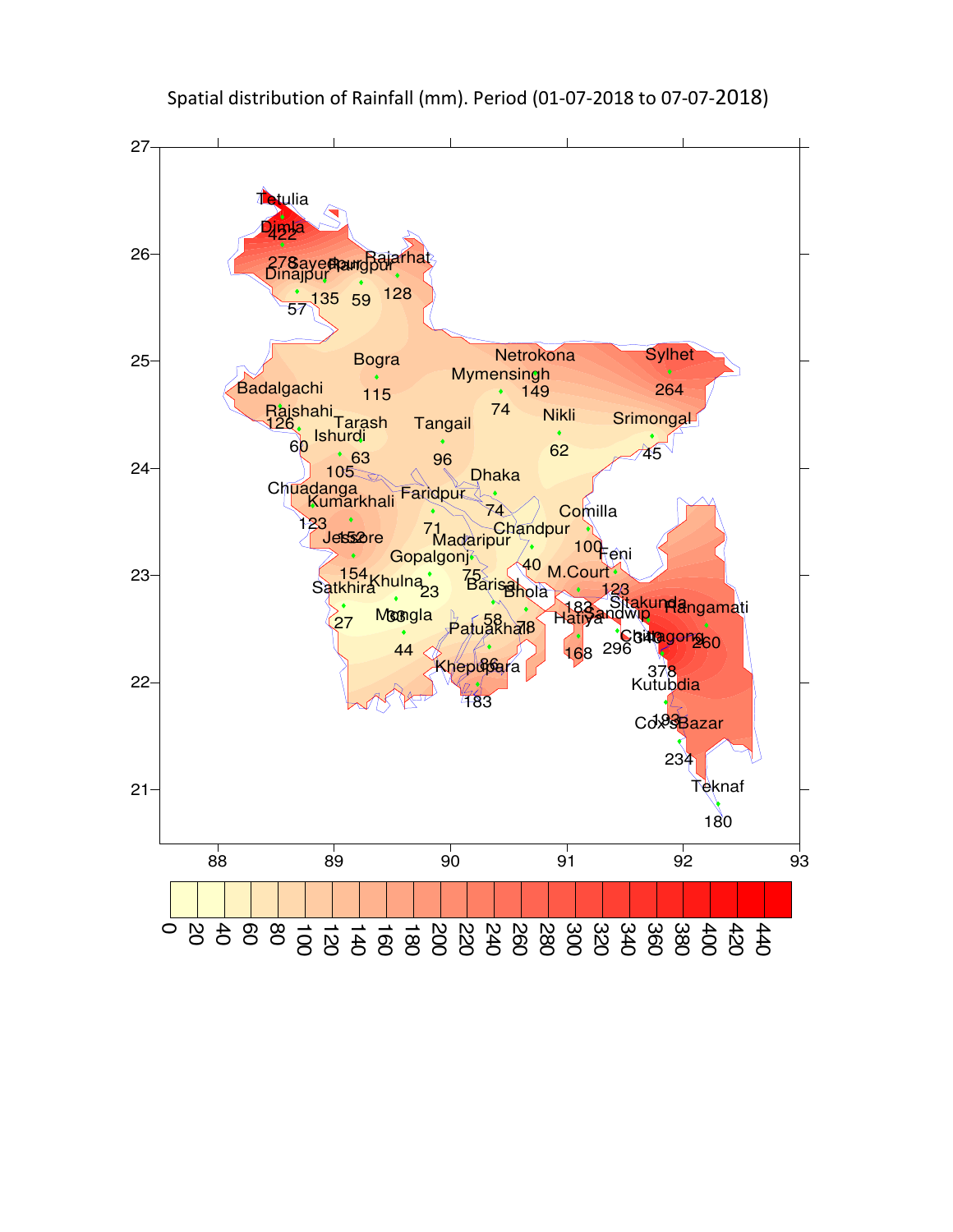

Spatial distribution of Rainfall (mm). Period (01-07-2018 to 07-07-2018)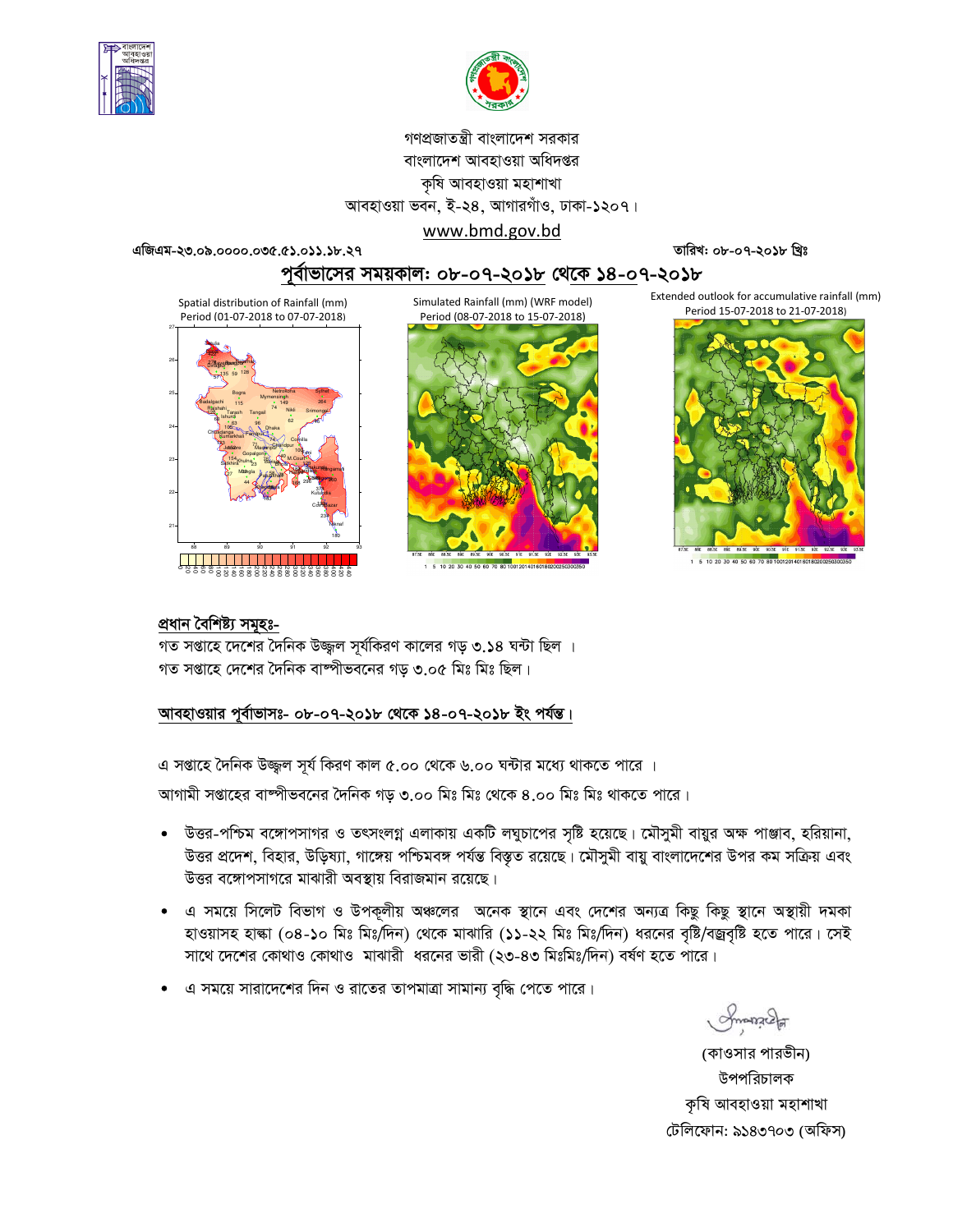



# গণপ্রজাতন্ত্রী বাংলাদেশ সরকার বাংলাদেশ আবহাওয়া অধিদপ্তর কৃষি আবহাওয়া মহাশাখা আবহাওয়া ভবন, ই-২৪, আগারগাঁও, ঢাকা-১২০৭। www.bmd.gov.bd

এজিএম-২৩.০৯.০০০০.০৩৫.৫১.০১১.১৮.২৭

তারিখ: ০৮-০৭-২০১৮ খ্রিঃ

# পূর্বাভাসের সময়কাল: ০৮-০৭-২০১৮ থেকে ১৪-০৭-২০১৮

Spatial distribution of Rainfall (mm) Period (01-07-2018 to 07-07-2018)



Simulated Rainfall (mm) (WRF model) Period (08-07-2018 to 15-07-2018)



1 5 10 20 30 40 50 60 70 80 1001201401601802002

Extended outlook for accumulative rainfall (mm) Period 15-07-2018 to 21-07-2018)



1 5 10 20 30 40 50 60 70 80 10012014016018020

#### প্ৰধান বৈশিষ্ট্য সমূহঃ-

গত সপ্তাহে দেশের দৈনিক উজ্জ্বল সূর্যকিরণ কালের গড় ৩.১৪ ঘন্টা ছিল । গত সপ্তাহে দেশের দৈনিক বাষ্পীভবনের গড় ৩.০৫ মিঃ মিঃ ছিল।

### আবহাওয়ার পূর্বাভাসঃ- ০৮-০৭-২০১৮ থেকে ১৪-০৭-২০১৮ ইং পর্যন্ত।

এ সপ্তাহে দৈনিক উজ্জ্বল সূর্য কিরণ কাল ৫.০০ থেকে ৬.০০ ঘন্টার মধ্যে থাকতে পারে ।

আগামী সপ্তাহের বাষ্পীভবনের দৈনিক গড় ৩.০০ মিঃ মিঃ থেকে ৪.০০ মিঃ মিঃ থাকতে পারে।

- উত্তর-পশ্চিম বঙ্গোপসাগর ও তৎসংলগ্ন এলাকায় একটি লঘুচাপের সৃষ্টি হয়েছে। মৌসুমী বায়ুর অক্ষ পাঞ্জাব, হরিয়ানা, উত্তর প্রদেশ, বিহার, উড়িষ্যা, গাঙ্গেয় পশ্চিমবঙ্গ পর্যন্ত বিস্তৃত রয়েছে। মৌসুমী বায়ু বাংলাদেশের উপর কম সক্রিয় এবং উত্তর বঙ্গোপসাগরে মাঝারী অবস্থায় বিরাজমান রয়েছে।
- এ সময়ে সিলেট বিভাগ ও উপকূলীয় অঞ্চলের অনেক স্থানে এবং দেশের অন্যত্র কিছু কিছু স্থানে অস্থায়ী দমকা হাওয়াসহ হাল্কা (০৪-১০ মিঃ মিঃদিন) থেকে মাঝারি (১১-২২ মিঃ মিঃ/দিন) ধরনের বৃষ্টি/বজ্রবৃষ্টি হতে পারে। সেই সাথে দেশের কোথাও কোথাও মাঝারী ধরনের ভারী (২৩-৪৩ মিঃমিঃ/দিন) বর্ষণ হতে পারে।
- এ সময়ে সারাদেশের দিন ও রাতের তাপমাত্রা সামান্য বৃদ্ধি পেতে পারে।

Smanach

(কাওসার পারভীন) উপপরিচালক কৃষি আবহাওয়া মহাশাখা টেলিফোন: ৯১৪৩৭০৩ (অফিস)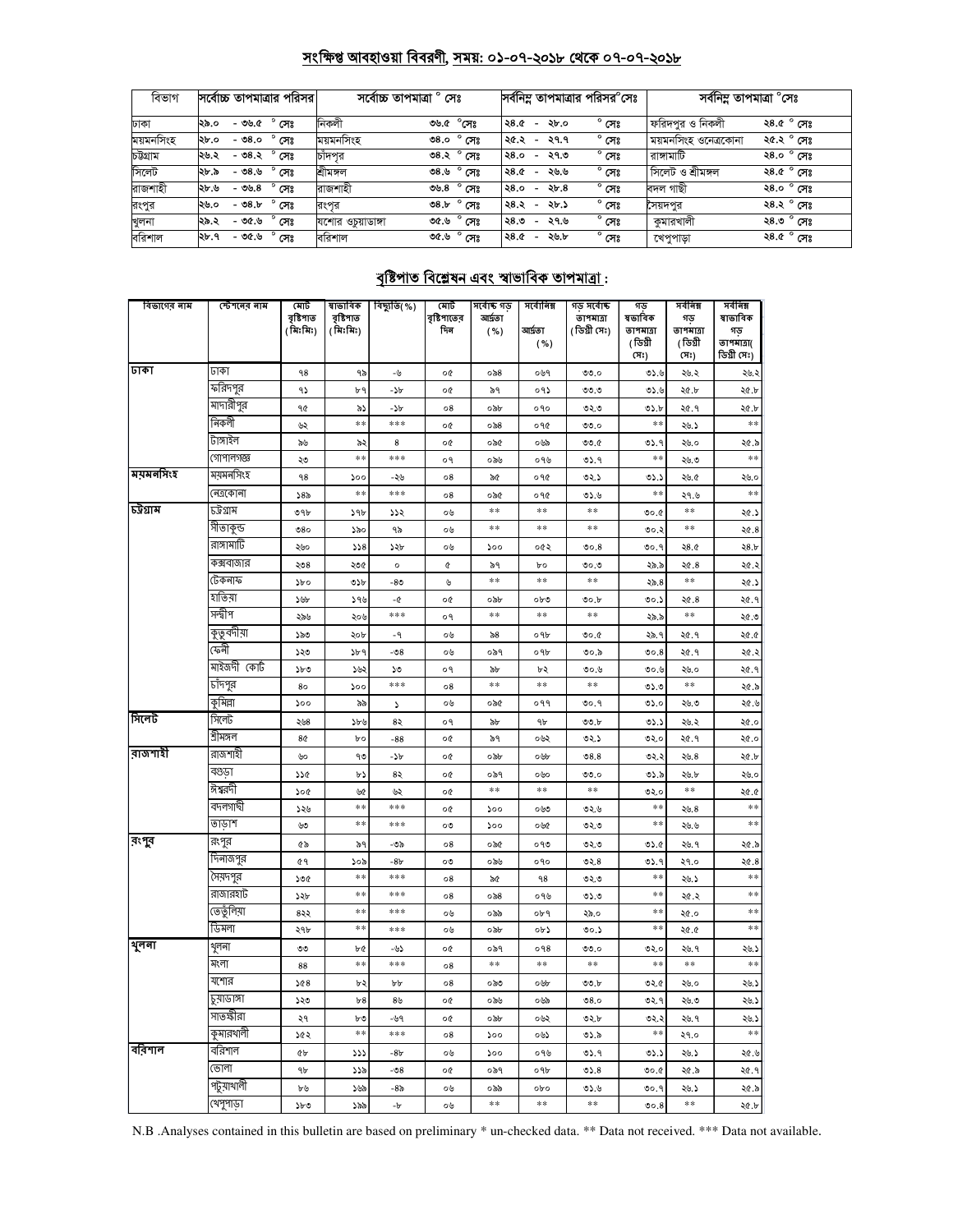# সংক্ষিপ্ত আবহাওয়া বিবরণী, সময়: ০১-০৭-২০১৮ থেকে ০৭-০৭-২০১৮

| বিভাগ     | সর্বোচ্চ তাপমাত্রার পরিসর।       | সৰ্বোচ্চ তাপমাত্ৰা ' | ' সেঃ                  |                                  |      | সর্বনিম্ন তাপমাত্রার পরিসর <sup>o</sup> সেঃ | সৰ্বনিম তাপমাত্ৰা $^\circ$ সেঃ |                     |
|-----------|----------------------------------|----------------------|------------------------|----------------------------------|------|---------------------------------------------|--------------------------------|---------------------|
| ঢাকা      | $^{\circ}$ সেঃ<br>-৩৬.৫<br>২৯.০  | নিকলী                | ৩৬.৫ °সেঃ              | ২৪.৫<br>$\overline{\phantom{a}}$ | ২৮.০ | $^{\circ}$ সেঃ                              | ফরিদপর ও নিকলী                 | ২৪.৫ $^{\circ}$ সেঃ |
| ময়মনসিংহ | $^{\circ}$ সেঃ<br>- ৩৪.০<br>২৮.০ | ময়মনসিংহ            | $^{\circ}$ সেঃ<br>0.8c | ২৫.২<br>$\overline{\phantom{a}}$ | ২৭.৭ | $^{\circ}$ সেঃ                              | ময়মনাসংহ ওনেত্ৰকোনা           | ২৫.২ ° সেঃ          |
| চউগ্ৰাম   | $-$ ৩৪.২ $^{\circ}$ সেঃ<br>২৬.২  | চাঁদপর               | ৩৪.২ ° সেঃ             | ২৪.০<br>$\overline{\phantom{a}}$ | ২৭.৩ | $^{\circ}$ সেঃ                              | রাঙ্গামাটি                     | ২৪.০ ° সেঃ          |
| সিলেট     | $^{\circ}$ সেঃ<br>- ৩৪.৬<br>২৮.৯ | শ্ৰীমঙ্গল            | ৩৪.৬ ° সেঃ             | ২৪.৫<br>$\overline{\phantom{0}}$ | ২৬.৬ | $^{\circ}$ সেঃ                              | সিলেট ও শ্ৰীমঙ্গল              | ২৪.৫ ° সেঃ          |
| রাজশাহী   | $^{\circ}$ সেঃ<br>-৩৬.৪<br>২৮.৬  | রাজশাহী              | $^{\circ}$ সেঃ<br>৩৬.৪ | ২8.०<br>$\overline{\phantom{a}}$ | ২৮.৪ | $^{\circ}$ সেঃ                              | বদল গাছী                       | ২৪.০ ° সেঃ          |
| রংপুর     | $-08.5$<br>সেঃ<br>২৬.০           | রংপর                 | $^{\circ}$ সেঃ<br>৩8.৮ | ২৪.২<br>$\overline{\phantom{0}}$ | ২৮.১ | $^{\circ}$ সেঃ                              | সৈয়দপর                        | ২৪.২ ° সেঃ          |
| খুলনা     | $^{\circ}$ সেঃ<br>- ৩৫.৬<br>২৯.২ | যশোর ওচয়াডাঙ্গা     | $^{\circ}$ সেঃ<br>৩৫.৬ | ২৪.৩<br>$\overline{\phantom{a}}$ | ২৭.৬ | $^{\circ}$ সেঃ                              | কুমারখালী                      | ২৪.৩ ° সেঃ          |
| বরিশাল    | $^{\circ}$ সেঃ<br>- ৩৫.৬<br>২৮.৭ | বরিশাল               | ৩৫.৬ ° সেঃ             | ২৪.৫<br>$\sim$                   | ২৬.৮ | $^{\circ}$ সেঃ                              | খেপুপাড়া                      | ২৪.৫ $^{\circ}$ সেঃ |

# <u> বৃষ্টিপাত বিশ্লেষন এবং স্বাভাবিক তাপমাত্ৰা :</u>

| বিভাগের নাম   | স্টেশনের নাম | মোট<br>বৃষ্টিপাত<br>(মিঃমিঃ) | ষাভাবিক<br>বৃষ্টিপাত<br>(মিঃমিঃ) | বিছ্যুতি( %) | মোট<br>বৃষ্টিপাতের<br>দিন | সৰ্বোষ্ক গড<br>আৰ্দ্ৰতা<br>( %) | সৰ্বোনিম্ন<br>আৰ্দ্ৰতা<br>( %) | গড় সৰ্বোষ্ক<br>তাপমাত্রা<br>(ডিগ্ৰী সেঃ) | গড<br>ষভাবিক<br>তাপমাত্রা<br>(ডিগ্ৰী<br>(সঃ) | সৰ্বনিম্ন<br>গড<br>তাপমাত্রা<br>(ডিগ্ৰী<br>(সঃ) | সৰ্বনিম্ন<br>ষাভাবিক<br>গড়<br>তাপমাত্রা(<br>ডিগ্ৰী সেঃ) |
|---------------|--------------|------------------------------|----------------------------------|--------------|---------------------------|---------------------------------|--------------------------------|-------------------------------------------|----------------------------------------------|-------------------------------------------------|----------------------------------------------------------|
| ঢাকা          | ঢাকা         | ٩8                           | ৭৯                               | -4           | o¢                        | $\circ$ ನಿ8                     | ০৬৭                            | 00.0                                      | 0.5.5                                        | ২৬.২                                            | ২৬.২                                                     |
|               | ফারদপুর      | ۹১                           | ৮৭                               | -26          | o¢                        | ৯৭                              | ०१১                            | ৩৩.৩                                      | ৩১.৬                                         | ২৫.৮                                            | ২৫.৮                                                     |
|               | মাদারীপুর    | 90                           | ৯১                               | -25          | 08                        | ০৯৮                             | ०१०                            | ৩২.৩                                      | ৩১.৮                                         | ২৫.৭                                            | ২৫.৮                                                     |
|               | নিকলী        | ৬২                           | **                               | ***          | o¢                        | ০৯৪                             | ०१৫                            | 00.0                                      | $**$                                         | ২৬.১                                            | $\ast$                                                   |
|               | টাঙ্গাইল     | ৯৬                           | ৯২                               | 8            | o¢                        | ০৯৫                             | ০৬৯                            | 00.6                                      | ৩১.৭                                         | ২৬.০                                            | ২৫.৯                                                     |
|               | গোপালগজ্ঞ    | ২৩                           | **                               | ***          | o٩                        | ০৯৬                             | ०१७                            | ৩১.৭                                      | $**$                                         | ২৬.৩                                            | $**$                                                     |
| ময়মনসিংহ     | ময়মনসিংহ    | 98                           | ১০০                              | -২৬          | о8                        | ৯৫                              | ०१৫                            | ৩২.১                                      | ৩১.১                                         | ২৬.৫                                            | ২৬.০                                                     |
|               | নেত্ৰকোনা    | ১৪৯                          | $**$                             | ***          | 08                        | ০৯৫                             | ०१৫                            | 0.6                                       | $**$                                         | ২৭.৬                                            | $\ast\ast$                                               |
| চট্টগ্ৰাম     | ঢট্ৰগ্ৰাম    | ৩৭৮                          | 39b                              | ১১২          | ০৬                        | **                              | **                             | **                                        | 0.00                                         | **                                              | ২৫.১                                                     |
|               | সীতাকুন্ড    | 080                          | ১৯০                              | ৭৯           | ০৬                        | **                              | $\pm\pm$                       | $\pm\pm$                                  | ৩০.২                                         | **                                              | 20.8                                                     |
|               | রাঙ্গামাটি   | ২৬০                          | 558                              | ১২৮          | ০৬                        | ১০০                             | ০৫২                            | 00.8                                      | ৩০.৭                                         | 28.0                                            | 28.5                                                     |
|               | কক্সবাজার    | ২৩৪                          | ২৩৫                              | $\circ$      | ¢                         | ৯৭                              | bο                             | ৩০.৩                                      | ২৯.৯                                         | ২৫.৪                                            | ২৫.২                                                     |
|               | টেকনাফ       | $\delta$                     | ৩১৮                              | -80          | ৬                         | **                              | $\pm\pm$                       | $\pm\pm$                                  | 25.8                                         | **                                              | ২৫.১                                                     |
|               | হাতিয়া      | ১৬৮                          | 94                               | -৫           | o¢                        | ০৯৮                             | ০৮৩                            | 00.b                                      | 00.5                                         | ২৫.৪                                            | ২৫.৭                                                     |
|               | সন্দ্বীপ     | ২৯৬                          | ২০৬                              | ***          | o٩                        | **                              | $\pm\pm$                       | $\pm\pm$                                  | ২৯.৯                                         | **                                              | ৩.১২                                                     |
|               | কুতুবদীয়া   | ১৯৩                          | ২০৮                              | - 9          | ০৬                        | ৯৪                              | ०१৮                            | ৩০.৫                                      | ২৯.৭                                         | ২৫.৭                                            | 20.0                                                     |
|               | ফেনী         | ১২৩                          | ১৮৭                              | -08          | ০৬                        | ০৯৭                             | ०१৮                            | ৩০.৯                                      | 00.8                                         | ২৫.৭                                            | ২৫.২                                                     |
|               | মাইজদী কোর্ট | ১৮৩                          | بناد                             | ১৩           | o٩                        | ৯৮                              | ৮২                             | ৩০.৬                                      | ৩০.৬                                         | ২৬.০                                            | ২৫.৭                                                     |
|               | চাঁদপুর      | 80                           | ১০০                              | ***          | 08                        | $\pm\pm$                        | $\pm\pm$                       | $\pm\pm$                                  | ৩১.৩                                         | **                                              | ২৫.৯                                                     |
|               | কুমিল্লা     | 500                          | ৯৯                               | ډ            | ০৬                        | ০৯৫                             | ०११                            | 00.9                                      | 0.20                                         | ২৬.৩                                            | ২৫.৬                                                     |
| সিলেট         | সিলেট        | ২৬৪                          | ১৮৬                              | 82           | o٩                        | ৯৮                              | ٩b                             | ৩৩.৮                                      | ৩১.১                                         | ২৬.২                                            | ২৫.০                                                     |
|               | শ্ৰীমঙ্গল    | 8¢                           | bο                               | $-88$        | o¢                        | ৯৭                              | ০৬২                            | ৩২.১                                      | ৩২.০                                         | ২৫.৭                                            | ২৫.০                                                     |
| বাজশাহী       | রাজশাইী      | ৬০                           | ৭৩                               | -25          | o¢                        | ০৯৮                             | ০৬৮                            | 08.8                                      | ৩২.২                                         | ২৬.৪                                            | ২৫.৮                                                     |
|               | বগুডা        | 226                          | ৮১                               | 82           | o¢                        | ০৯৭                             | ০৬০                            | ৩৩.০                                      | ৩১.৯                                         | ২৬.৮                                            | ২৬.০                                                     |
|               | ঈশ্বরদী      | ১০৫                          | ৬৫                               | ৬২           | o¢                        | **                              | $\ast\ast$                     | $\pm\pm$                                  | ৩২.০                                         | **                                              | ২৫.৫                                                     |
|               | বদলগাৰ্ঘী    | ১২৬                          | **                               | ***          | o¢                        | ১০০                             | ০৬৩                            | ৩২.৬                                      | $**$                                         | 20.8                                            | $\ast$                                                   |
|               | তাডাশ        | ৬৩                           | **                               | ***          | ೲ                         | 500                             | ০৬৫                            | ৩২৩                                       | $\pm\pm$                                     | ২৬.৬                                            | $\ast$                                                   |
| <b>রং</b> পুর | রংপুর        | ৫৯                           | ৯৭                               | -৩৯          | 08                        | ০৯৫                             | ০৭৩                            | ৩২৩                                       | 05.6                                         | ২৬. ৭                                           | ২৫.৯                                                     |
|               | দিনাজপুর     | 69                           | ১০৯                              | -8৮          | ೦೮                        | ০৯৬                             | ०१०                            | 02.8                                      | ৩১.৭                                         | ২৭.০                                            | 20.8                                                     |
|               | সৈয়দপুর     | ১৩৫                          | **                               | ***          | 08                        | ৯৫                              | ۹8                             | ৩২৩                                       | $**$                                         | ২৬.১                                            | $**$                                                     |
|               | রাজারহাট     | ১২৮                          | **                               | ***          | 08                        | ০৯৪                             | ০৭৬                            | ৩১.৩                                      | **                                           | ২৫.২                                            | $\ast$ $\ast$                                            |
|               | তেতুঁলিয়া   | ৪২২                          | **                               | ***          | ০৬                        | ০৯৯                             | ०৮৭                            | ২৯.০                                      | **                                           | ২৫.০                                            | **                                                       |
|               | ডিমলা        | ২৭৮                          | **                               | ***          | ০৬                        | ০৯৮                             | ০৮১                            | ৩০.১                                      | $**$                                         | ২৫.৫                                            | $\ast$                                                   |
| থুলনা         | থুলনা        | ৩৩                           | ৮৫                               | -৬১          | o¢                        | ০৯৭                             | 098                            | ৩৩.০                                      | ৩২.০                                         | ২৬. ৭                                           | ২৬.১                                                     |
|               | মংলা         | 88                           | **                               | ***          | 08                        | **                              | **                             | **                                        | **                                           | $\ast$ $\ast$                                   | $\ast\ast$                                               |
|               | যশোর         | 568                          | ৮২                               | ৮৮           | 08                        | ಂನಿಲ                            | ০৬৮                            | ৩৩.৮                                      | ৩২.৫                                         | ২৬.০                                            | ২৬.১                                                     |
|               | চুয়াডাঙ্গা  | ১২৩                          | b8                               | ৪৬           | o¢                        | ০৯৬                             | ০৬৯                            | 08.0                                      | ৩২.৭                                         | ২৬.৩                                            | ২৬.১                                                     |
|               | সাতস্কীরা    | ২৭                           | ৮৩                               | -৬৭          | o¢                        | ০৯৮                             | ০৬২                            | ৩২.৮                                      | ৩২.২                                         | ২৬. ৭                                           | ২৬.১                                                     |
|               | কুমারখালী    | ১৫২                          | $\ast$                           | ***          | 08                        | 200                             | ০৬১                            | ৩১.৯                                      | $\ast\ast$                                   | ২৭.০                                            | $**$                                                     |
| ববিশাল        | বারশাল       | ¢Ъ                           | 777                              | -8৮          | ০৬                        | ১০০                             | ০৭৬                            | ৩১.৭                                      | ৩১.১                                         | ২৬.১                                            | ২৫.৬                                                     |
|               | ভোলা         | ٩b                           | ১১৯                              | -৩8          | o¢                        | ০৯৭                             | ०१৮                            | 05.8                                      | ৩০.৫                                         | ২৫.৯                                            | ২৫.৭                                                     |
|               | পটুয়াথালী   | ৮৬                           | ১৬৯                              | -8৯          | ০৬                        | ০৯৯                             | obo                            | ৩১.৬                                      | ৩০.৭                                         | ২৬.১                                            | ২৫.৯                                                     |
|               | খেপুপাড়া    | ১৮৩                          | ১৯৯                              | - b          | ০৬                        | $\ast\ast$                      | $\ast\ast$                     | $\ast\ast$                                | 00.8                                         | $\ast\ast$                                      | ২৫.৮                                                     |

N.B .Analyses contained in this bulletin are based on preliminary \* un-checked data. \*\* Data not received. \*\*\* Data not available.